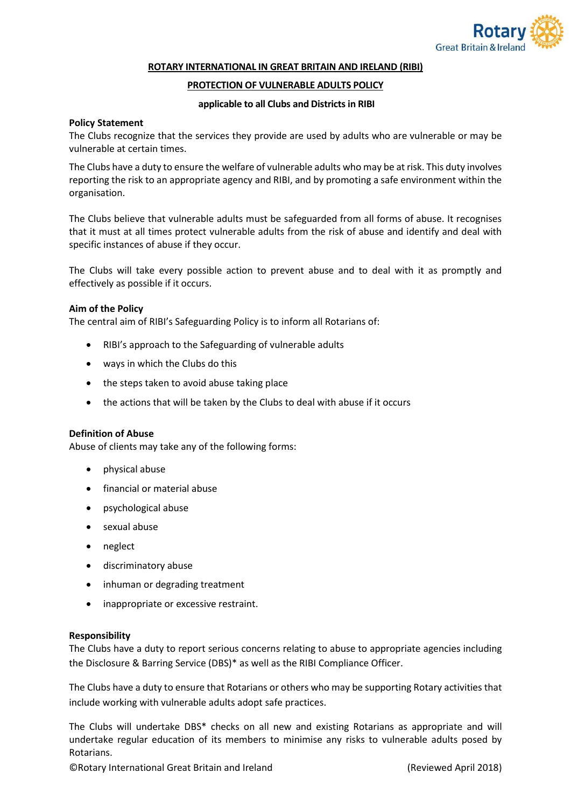

#### **ROTARY INTERNATIONAL IN GREAT BRITAIN AND IRELAND (RIBI)**

## **PROTECTION OF VULNERABLE ADULTS POLICY**

#### **applicable to all Clubs and Districts in RIBI**

## **Policy Statement**

The Clubs recognize that the services they provide are used by adults who are vulnerable or may be vulnerable at certain times.

The Clubs have a duty to ensure the welfare of vulnerable adults who may be at risk. This duty involves reporting the risk to an appropriate agency and RIBI, and by promoting a safe environment within the organisation.

The Clubs believe that vulnerable adults must be safeguarded from all forms of abuse. It recognises that it must at all times protect vulnerable adults from the risk of abuse and identify and deal with specific instances of abuse if they occur.

The Clubs will take every possible action to prevent abuse and to deal with it as promptly and effectively as possible if it occurs.

## **Aim of the Policy**

The central aim of RIBI's Safeguarding Policy is to inform all Rotarians of:

- RIBI's approach to the Safeguarding of vulnerable adults
- ways in which the Clubs do this
- the steps taken to avoid abuse taking place
- the actions that will be taken by the Clubs to deal with abuse if it occurs

#### **Definition of Abuse**

Abuse of clients may take any of the following forms:

- physical abuse
- financial or material abuse
- psychological abuse
- sexual abuse
- neglect
- discriminatory abuse
- inhuman or degrading treatment
- inappropriate or excessive restraint.

#### **Responsibility**

The Clubs have a duty to report serious concerns relating to abuse to appropriate agencies including the Disclosure & Barring Service (DBS)\* as well as the RIBI Compliance Officer.

The Clubs have a duty to ensure that Rotarians or others who may be supporting Rotary activities that include working with vulnerable adults adopt safe practices.

The Clubs will undertake DBS\* checks on all new and existing Rotarians as appropriate and will undertake regular education of its members to minimise any risks to vulnerable adults posed by Rotarians.